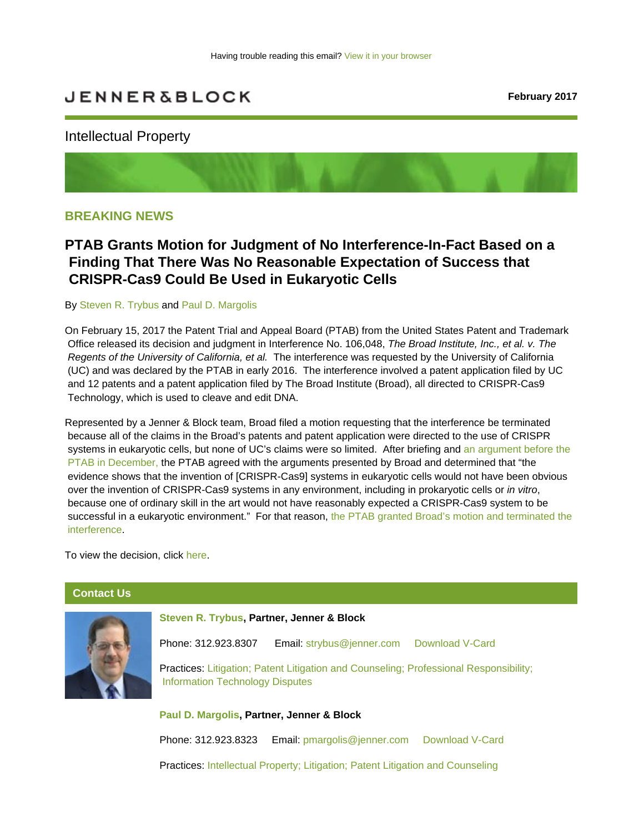# <span id="page-0-0"></span>**JENNER&BLOCK**

### Intellectual Property



### **BREAKING NEWS**

## **PTAB Grants Motion for Judgment of No Interference-In-Fact Based on a Finding That There Was No Reasonable Expectation of Success that CRISPR-Cas9 Could Be Used in Eukaryotic Cells**

### By [Steven R. Trybus](https://sites-jenner.vuturevx.com/email_handler.aspx?sid=3d8256d8-dc78-4af3-9945-e3a593cf81ba&redirect=http%3A%2F%2Fjenner.com%2Fpeople%2FStevenTrybus) and [Paul D. Margolis](https://jenner.com/people/PaulMargolis)

On February 15, 2017 the Patent Trial and Appeal Board (PTAB) from the United States Patent and Trademark Office released its decision and judgment in Interference No. 106,048, *The Broad Institute, Inc., et al. v. The Regents of the University of California, et al.* The interference was requested by the University of California (UC) and was declared by the PTAB in early 2016. The interference involved a patent application filed by UC and 12 patents and a patent application filed by The Broad Institute (Broad), all directed to CRISPR-Cas9 Technology, which is used to cleave and edit DNA.

Represented by a Jenner & Block team, Broad filed a motion requesting that the interference be terminated because all of the claims in the Broad's patents and patent application were directed to the use of CRISPR systems in eukaryotic cells, but none of UC's claims were so limited. After briefing and [an argument before the](https://jenner.com/library/news/15724)  [PTAB in December,](https://jenner.com/library/news/15724) the PTAB agreed with the arguments presented by Broad and determined that "the evidence shows that the invention of [CRISPR-Cas9] systems in eukaryotic cells would not have been obvious over the invention of CRISPR-Cas9 systems in any environment, including in prokaryotic cells or *in vitro*, because one of ordinary skill in the art would not have reasonably expected a CRISPR-Cas9 system to be successful in a eukaryotic environment." For that reason, [the PTAB granted Broad's motion and terminated the](https://jenner.com/library/news/16543)  [interference.](https://jenner.com/library/news/16543)

To view the decision, click [here.](https://jenner.com/system/assets/assets/10030/original/CRISPR Decision on Motions.pdf)

### **Contact Us**



**[Steven R. Trybus,](http://jenner.com/people/StevenTrybus) Partner, Jenner & Block**

Phone: 312.923.8307 Email: [strybus@jenner.com](mailto:strybus@jenner.com) [Download V-Card](http://jenner.com/people/147/vcard)

Practices: [Litigation](http://jenner.com/practices/96); [Patent Litigation and Counseling](http://jenner.com/practices/146); [Professional Responsibility](http://jenner.com/practices/129); [Information](http://jenner.com/practices/140) [Technology Disputes](http://jenner.com/practices/140)

**[Paul D. Margolis,](https://jenner.com/people/PaulMargolis) Partner, Jenner & Block**

Phone: 312.923.8323 Email: [pmargolis@jenner.com](mailto:pmargolis@jenner.com) [Download V-Card](https://jenner.com/people/218/vcard)

Practices: [Intellectual Property](https://jenner.com/practices/120); [Litigation](http://jenner.com/practices/96); [Patent Litigation and Counseling](http://jenner.com/practices/146)